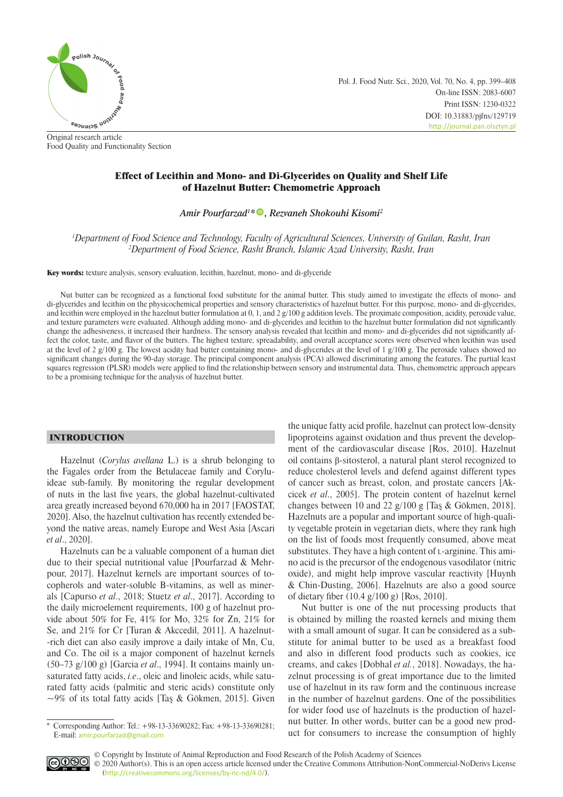

Original research article Food Quality and Functionality Section Pol. J. Food Nutr. Sci., 2020, Vol. 70, No. 4, pp. 399–408 On-line ISSN: 2083-6007 Print ISSN: 1230-0322 DOI: 10.31883/pjfns/129719 <http://journal.pan.olsztyn.pl>

# Effect of Lecithin and Mono- and Di-Glycerides on Quality and Shelf Life of Hazelnut Butter: Chemometric Approach

*Amir Pourfarzad1 \* [,](https://orcid.org/0000-0003-2913-9682) Rezvaneh Shokouhi Kisomi2*

*1 Department of Food Science and Technology, Faculty of Agricultural Sciences, University of Guilan, Rasht, Iran 2 Department of Food Science, Rasht Branch, Islamic Azad University, Rasht, Iran*

Key words: texture analysis, sensory evaluation, lecithin, hazelnut, mono- and di-glyceride

Nut butter can be recognized as a functional food substitute for the animal butter. This study aimed to investigate the effects of mono- and di-glycerides and lecithin on the physicochemical properties and sensory characteristics of hazelnut butter. For this purpose, mono- and di-glycerides, and lecithin were employed in the hazelnut butter formulation at 0, 1, and 2  $g/100$  g addition levels. The proximate composition, acidity, peroxide value, and texture parameters were evaluated. Although adding mono- and di-glycerides and lecithin to the hazelnut butter formulation did not significantly change the adhesiveness, it increased their hardness. The sensory analysis revealed that lecithin and mono- and di-glycerides did not significantly affect the color, taste, and flavor of the butters. The highest texture, spreadability, and overall acceptance scores were observed when lecithin was used at the level of 2 g/100 g. The lowest acidity had butter containing mono- and di-glycerides at the level of 1 g/100 g. The peroxide values showed no significant changes during the 90-day storage. The principal component analysis (PCA) allowed discriminating among the features. The partial least squares regression (PLSR) models were applied to find the relationship between sensory and instrumental data. Thus, chemometric approach appears to be a promising technique for the analysis of hazelnut butter.

## INTRODUCTION

Hazelnut (*Corylus avellana* L.) is a shrub belonging to the Fagales order from the Betulaceae family and Coryluideae sub-family. By monitoring the regular development of nuts in the last five years, the global hazelnut-cultivated area greatly increased beyond 670,000 ha in 2017 [FAOSTAT, 2020]. Also, the hazelnut cultivation has recently extended beyond the native areas, namely Europe and West Asia [Ascari *et al*., 2020].

Hazelnuts can be a valuable component of a human diet due to their special nutritional value [Pourfarzad & Mehrpour, 2017]. Hazelnut kernels are important sources of tocopherols and water-soluble B-vitamins, as well as minerals [Capurso *et al*., 2018; Stuetz *et al*., 2017]. According to the daily microelement requirements, 100 g of hazelnut provide about 50% for Fe, 41% for Mo, 32% for Zn, 21% for Se, and 21% for Cr [Turan & Akccedil, 2011]. A hazelnut- -rich diet can also easily improve a daily intake of Mn, Cu, and Co. The oil is a major component of hazelnut kernels (50–73 g/100 g) [Garcia *et al*., 1994]. It contains mainly unsaturated fatty acids, *i.e*., oleic and linoleic acids, while saturated fatty acids (palmitic and steric acids) constitute only  $\sim$ 9% of its total fatty acids [Taş & Gökmen, 2015]. Given

the unique fatty acid profile, hazelnut can protect low-density lipoproteins against oxidation and thus prevent the development of the cardiovascular disease [Ros, 2010]. Hazelnut oil contains β-sitosterol, a natural plant sterol recognized to reduce cholesterol levels and defend against different types of cancer such as breast, colon, and prostate cancers [Akcicek *et al*., 2005]. The protein content of hazelnut kernel changes between 10 and 22 g/100 g [Taş & Gökmen, 2018]. Hazelnuts are a popular and important source of high-quality vegetable protein in vegetarian diets, where they rank high on the list of foods most frequently consumed, above meat substitutes. They have a high content of  $L$ -arginine. This amino acid is the precursor of the endogenous vasodilator (nitric oxide), and might help improve vascular reactivity [Huynh & Chin-Dusting, 2006]. Hazelnuts are also a good source of dietary fiber (10.4 g/100 g) [Ros, 2010].

Nut butter is one of the nut processing products that is obtained by milling the roasted kernels and mixing them with a small amount of sugar. It can be considered as a substitute for animal butter to be used as a breakfast food and also in different food products such as cookies, ice creams, and cakes [Dobhal *et al.*, 2018]. Nowadays, the hazelnut processing is of great importance due to the limited use of hazelnut in its raw form and the continuous increase in the number of hazelnut gardens. One of the possibilities for wider food use of hazelnuts is the production of hazelnut butter. In other words, butter can be a good new product for consumers to increase the consumption of highly



© Copyright by Institute of Animal Reproduction and Food Research of the Polish Academy of Sciences © 2020 Author(s). This is an open access article licensed under the Creative Commons Attribution-NonCommercial-NoDerivs License ([http://creativecommons.org/licenses/by-nc-nd/4.0/](http://creativecommons.org/licenses/by-nc-nd/3.0/)).

<sup>\*</sup> Corresponding Author: Tel.: +98-13-33690282; Fax: +98-13-33690281; E-mail: [amir.pourfarzad@gmail.com](mailto:amir.pourfarzad%40gmail.com?subject=)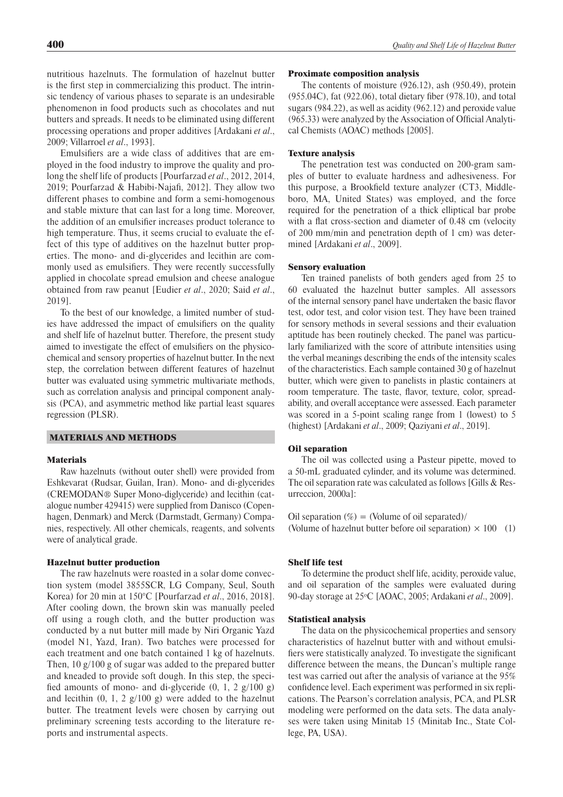nutritious hazelnuts. The formulation of hazelnut butter is the first step in commercializing this product. The intrinsic tendency of various phases to separate is an undesirable phenomenon in food products such as chocolates and nut butters and spreads. It needs to be eliminated using different processing operations and proper additives [Ardakani *et al*., 2009; Villarroel *et al*., 1993].

Emulsifiers are a wide class of additives that are employed in the food industry to improve the quality and prolong the shelf life of products [Pourfarzad *et al*., 2012, 2014, 2019; Pourfarzad & Habibi-Najafi, 2012]. They allow two different phases to combine and form a semi-homogenous and stable mixture that can last for a long time. Moreover, the addition of an emulsifier increases product tolerance to high temperature. Thus, it seems crucial to evaluate the effect of this type of additives on the hazelnut butter properties. The mono- and di-glycerides and lecithin are commonly used as emulsifiers. They were recently successfully applied in chocolate spread emulsion and cheese analogue obtained from raw peanut [Eudier *et al*., 2020; Said *et al*., 2019].

To the best of our knowledge, a limited number of studies have addressed the impact of emulsifiers on the quality and shelf life of hazelnut butter. Therefore, the present study aimed to investigate the effect of emulsifiers on the physicochemical and sensory properties of hazelnut butter. In the next step, the correlation between different features of hazelnut butter was evaluated using symmetric multivariate methods, such as correlation analysis and principal component analysis (PCA), and asymmetric method like partial least squares regression (PLSR).

#### MATERIALS AND METHODS

## **Materials**

Raw hazelnuts (without outer shell) were provided from Eshkevarat (Rudsar, Guilan, Iran). Mono- and di-glycerides (CREMODAN® Super Mono-diglyceride) and lecithin (catalogue number 429415) were supplied from Danisco (Copenhagen, Denmark) and Merck (Darmstadt, Germany) Companies, respectively. All other chemicals, reagents, and solvents were of analytical grade.

#### Hazelnut butter production

The raw hazelnuts were roasted in a solar dome convection system (model 3855SCR, LG Company, Seul, South Korea) for 20 min at 150°C [Pourfarzad *et al*., 2016, 2018]. After cooling down, the brown skin was manually peeled off using a rough cloth, and the butter production was conducted by a nut butter mill made by Niri Organic Yazd (model N1, Yazd, Iran). Two batches were processed for each treatment and one batch contained 1 kg of hazelnuts. Then, 10 g/100 g of sugar was added to the prepared butter and kneaded to provide soft dough. In this step, the specified amounts of mono- and di-glyceride  $(0, 1, 2, g/100, g)$ and lecithin  $(0, 1, 2, g/100, g)$  were added to the hazelnut butter. The treatment levels were chosen by carrying out preliminary screening tests according to the literature reports and instrumental aspects.

#### Proximate composition analysis

The contents of moisture (926.12), ash (950.49), protein (955.04C), fat (922.06), total dietary fiber (978.10), and total sugars (984.22), as well as acidity (962.12) and peroxide value (965.33) were analyzed by the Association of Official Analytical Chemists (AOAC) methods [2005].

### Texture analysis

The penetration test was conducted on 200-gram samples of butter to evaluate hardness and adhesiveness. For this purpose, a Brookfield texture analyzer (CT3, Middleboro, MA, United States) was employed, and the force required for the penetration of a thick elliptical bar probe with a flat cross-section and diameter of 0.48 cm (velocity of 200 mm/min and penetration depth of 1 cm) was determined [Ardakani *et al*., 2009].

#### Sensory evaluation

Ten trained panelists of both genders aged from 25 to 60 evaluated the hazelnut butter samples. All assessors of the internal sensory panel have undertaken the basic flavor test, odor test, and color vision test. They have been trained for sensory methods in several sessions and their evaluation aptitude has been routinely checked. The panel was particularly familiarized with the score of attribute intensities using the verbal meanings describing the ends of the intensity scales of the characteristics. Each sample contained 30 g of hazelnut butter, which were given to panelists in plastic containers at room temperature. The taste, flavor, texture, color, spreadability, and overall acceptance were assessed. Each parameter was scored in a 5-point scaling range from 1 (lowest) to 5 (highest) [Ardakani *et al*., 2009; Qaziyani *et al*., 2019].

#### Oil separation

The oil was collected using a Pasteur pipette, moved to a 50-mL graduated cylinder, and its volume was determined. The oil separation rate was calculated as follows [Gills & Resurreccion, 2000a]:

Oil separation  $(\%)$  = (Volume of oil separated)/ (Volume of hazelnut butter before oil separation)  $\times$  100 (1)

#### Shelf life test

To determine the product shelf life, acidity, peroxide value, and oil separation of the samples were evaluated during 90-day storage at 25<sup>o</sup> C [AOAC, 2005; Ardakani *et al*., 2009].

#### Statistical analysis

The data on the physicochemical properties and sensory characteristics of hazelnut butter with and without emulsifiers were statistically analyzed. To investigate the significant difference between the means, the Duncan's multiple range test was carried out after the analysis of variance at the 95% confidence level. Each experiment was performed in six replications. The Pearson's correlation analysis, PCA, and PLSR modeling were performed on the data sets. The data analyses were taken using Minitab 15 (Minitab Inc., State College, PA, USA).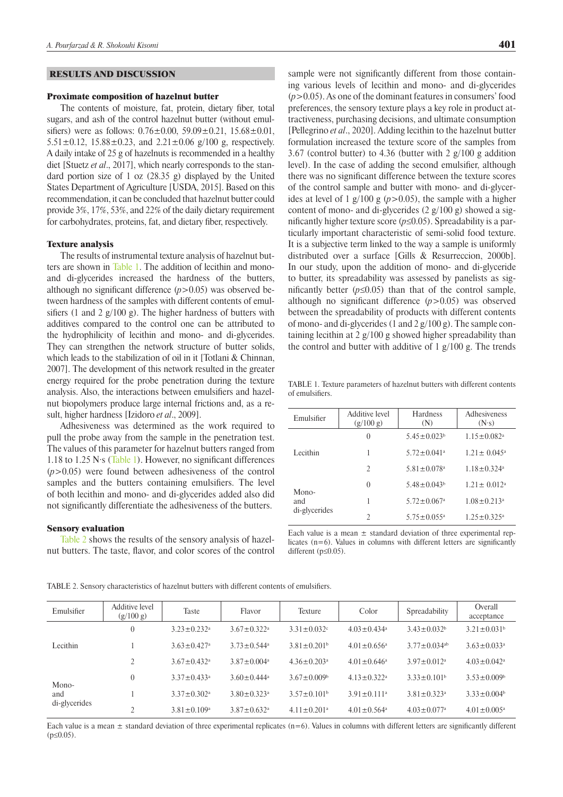### RESULTS AND DISCUSSION

#### Proximate composition of hazelnut butter

The contents of moisture, fat, protein, dietary fiber, total sugars, and ash of the control hazelnut butter (without emulsifiers) were as follows:  $0.76 \pm 0.00$ ,  $59.09 \pm 0.21$ ,  $15.68 \pm 0.01$ , 5.51 $\pm$ 0.12, 15.88 $\pm$ 0.23, and 2.21 $\pm$ 0.06 g/100 g, respectively. A daily intake of 25 g of hazelnuts is recommended in a healthy diet [Stuetz *et al*., 2017], which nearly corresponds to the standard portion size of 1 oz  $(28.35 g)$  displayed by the United States Department of Agriculture [USDA, 2015]. Based on this recommendation, it can be concluded that hazelnut butter could provide 3%, 17%, 53%, and 22% of the daily dietary requirement for carbohydrates, proteins, fat, and dietary fiber, respectively.

### Texture analysis

The results of instrumental texture analysis of hazelnut butters are shown in Table 1. The addition of lecithin and monoand di-glycerides increased the hardness of the butters, although no significant difference  $(p>0.05)$  was observed between hardness of the samples with different contents of emulsifiers (1 and 2  $g/100 g$ ). The higher hardness of butters with additives compared to the control one can be attributed to the hydrophilicity of lecithin and mono- and di-glycerides. They can strengthen the network structure of butter solids, which leads to the stabilization of oil in it [Totlani & Chinnan, 2007]. The development of this network resulted in the greater energy required for the probe penetration during the texture analysis. Also, the interactions between emulsifiers and hazelnut biopolymers produce large internal frictions and, as a result, higher hardness [Izidoro *et al*., 2009].

Adhesiveness was determined as the work required to pull the probe away from the sample in the penetration test. The values of this parameter for hazelnut butters ranged from 1.18 to 1.25 N·s (Table 1). However, no significant differences (*p*>0.05) were found between adhesiveness of the control samples and the butters containing emulsifiers. The level of both lecithin and mono- and di-glycerides added also did not significantly differentiate the adhesiveness of the butters.

#### Sensory evaluation

Table 2 shows the results of the sensory analysis of hazelnut butters. The taste, flavor, and color scores of the control sample were not significantly different from those containing various levels of lecithin and mono- and di-glycerides (*p*>0.05). As one of the dominant features in consumers' food preferences, the sensory texture plays a key role in product attractiveness, purchasing decisions, and ultimate consumption [Pellegrino *et al*., 2020]. Adding lecithin to the hazelnut butter formulation increased the texture score of the samples from 3.67 (control butter) to 4.36 (butter with 2 g/100 g addition level). In the case of adding the second emulsifier, although there was no significant difference between the texture scores of the control sample and butter with mono- and di-glycerides at level of 1 g/100 g  $(p>0.05)$ , the sample with a higher content of mono- and di-glycerides (2 g/100 g) showed a significantly higher texture score  $(p \le 0.05)$ . Spreadability is a particularly important characteristic of semi-solid food texture. It is a subjective term linked to the way a sample is uniformly distributed over a surface [Gills & Resurreccion, 2000b]. In our study, upon the addition of mono- and di-glyceride to butter, its spreadability was assessed by panelists as significantly better  $(p \le 0.05)$  than that of the control sample, although no significant difference (*p*>0.05) was observed between the spreadability of products with different contents of mono- and di-glycerides (1 and 2 g/100 g). The sample containing lecithin at 2 g/100 g showed higher spreadability than the control and butter with additive of 1 g/100 g. The trends

TABLE 1. Texture parameters of hazelnut butters with different contents of emulsifiers.

| Emulsifier           | <b>Additive level</b><br>(g/100 g) | Hardness<br>(N)               | Adhesiveness<br>(N <sub>s</sub> ) |  |
|----------------------|------------------------------------|-------------------------------|-----------------------------------|--|
|                      | $\theta$                           | $5.45 \pm 0.023^b$            | $1.15 \pm 0.082$ <sup>a</sup>     |  |
| Lecithin             | 1                                  | $5.72 \pm 0.041$ <sup>a</sup> | $1.21 \pm 0.045^{\circ}$          |  |
|                      | $\mathfrak{D}$                     | $5.81 \pm 0.078$ <sup>a</sup> | $1.18 \pm 0.324$ <sup>a</sup>     |  |
| Mono-                | $\Omega$                           | $5.48 \pm 0.043^b$            | $1.21 \pm 0.012^a$                |  |
| and<br>di-glycerides | 1                                  | $5.72 \pm 0.067$ <sup>a</sup> | $1.08 \pm 0.213$ <sup>a</sup>     |  |
|                      | $\overline{2}$                     | $5.75 \pm 0.055$ <sup>a</sup> | $1.25 \pm 0.325$ <sup>a</sup>     |  |

Each value is a mean  $\pm$  standard deviation of three experimental replicates (n=6). Values in columns with different letters are significantly different  $(p \le 0.05)$ .

| Emulsifier    | Additive level<br>(g/100 g) | Taste                         | Flavor                        | Texture                       | Color                         | Spreadability                  | Overall<br>acceptance         |
|---------------|-----------------------------|-------------------------------|-------------------------------|-------------------------------|-------------------------------|--------------------------------|-------------------------------|
|               | $\theta$                    | $3.23 \pm 0.232$ <sup>a</sup> | $3.67 \pm 0.322$ <sup>a</sup> | $3.31 \pm 0.032$ °            | $4.03 \pm 0.434$ <sup>a</sup> | $3.43 \pm 0.032^b$             | $3.21 \pm 0.031^b$            |
| Lecithin      |                             | $3.63 \pm 0.427$ <sup>a</sup> | $3.73 \pm 0.544^{\circ}$      | $3.81 \pm 0.201$ <sup>b</sup> | $4.01 \pm 0.656^{\circ}$      | $3.77 \pm 0.034$ <sup>ab</sup> | $3.63 \pm 0.033$ <sup>a</sup> |
|               |                             | $3.67 \pm 0.432$ <sup>a</sup> | $3.87 \pm 0.004$ <sup>a</sup> | $4.36 \pm 0.203$ <sup>a</sup> | $4.01 \pm 0.646^a$            | $3.97 \pm 0.012$ <sup>a</sup>  | $4.03 \pm 0.042$ <sup>a</sup> |
| Mono-         | $\theta$                    | $3.37 \pm 0.433^a$            | $3.60 \pm 0.444^{\circ}$      | $3.67 \pm 0.009$ <sup>b</sup> | $4.13 \pm 0.322$ <sup>a</sup> | $3.33 \pm 0.101^b$             | $3.53 \pm 0.009$ <sup>b</sup> |
| and           |                             | $3.37 \pm 0.302$ <sup>a</sup> | $3.80 \pm 0.323$ <sup>a</sup> | $3.57 \pm 0.101^b$            | $3.91 \pm 0.111$ <sup>a</sup> | $3.81 \pm 0.323$ <sup>a</sup>  | $3.33 \pm 0.004^b$            |
| di-glycerides | ↑                           | $3.81 \pm 0.109$ <sup>a</sup> | $3.87 \pm 0.632$ <sup>a</sup> | $4.11 \pm 0.201$ <sup>a</sup> | $4.01 \pm 0.564$ <sup>a</sup> | $4.03 \pm 0.077$ <sup>a</sup>  | $4.01 \pm 0.005^{\text{a}}$   |

TABLE 2. Sensory characteristics of hazelnut butters with different contents of emulsifiers.

Each value is a mean  $\pm$  standard deviation of three experimental replicates (n=6). Values in columns with different letters are significantly different  $(p \le 0.05)$ .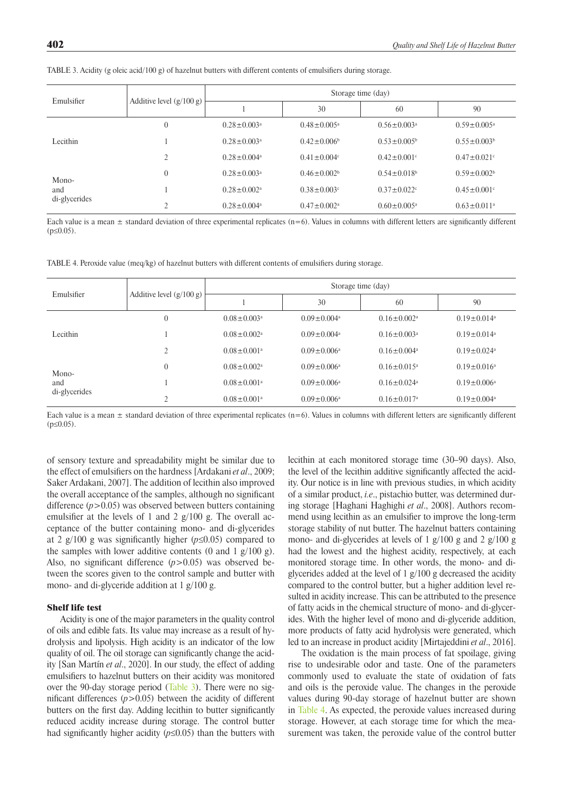| Emulsifier    |                            |                               | Storage time (day)            |                               |                               |
|---------------|----------------------------|-------------------------------|-------------------------------|-------------------------------|-------------------------------|
|               | Additive level $(g/100 g)$ |                               | 30                            | 60                            | 90                            |
|               |                            | $0.28 \pm 0.003$ <sup>a</sup> | $0.48 \pm 0.005^{\circ}$      | $0.56 \pm 0.003$ <sup>a</sup> | $0.59 \pm 0.005^{\circ}$      |
| Lecithin      |                            | $0.28 \pm 0.003$ <sup>a</sup> | $0.42 \pm 0.006^b$            | $0.53 \pm 0.005^b$            | $0.55 \pm 0.003^b$            |
|               | $\gamma$                   | $0.28 \pm 0.004$ <sup>a</sup> | $0.41 \pm 0.004$              | $0.42 \pm 0.001$ °            | $0.47 \pm 0.021$ °            |
| Mono-         |                            | $0.28 \pm 0.003$ <sup>a</sup> | $0.46 \pm 0.002^b$            | $0.54 \pm 0.018$ <sup>b</sup> | $0.59 \pm 0.002^b$            |
| and           |                            | $0.28 \pm 0.002$ <sup>a</sup> | $0.38 \pm 0.003$ °            | $0.37 \pm 0.022$              | $0.45 \pm 0.001$ °            |
| di-glycerides | $\bigcap$                  | $0.28 \pm 0.004$ <sup>a</sup> | $0.47 \pm 0.002$ <sup>a</sup> | $0.60 \pm 0.005^{\text{a}}$   | $0.63 \pm 0.011$ <sup>a</sup> |

TABLE 3. Acidity (g oleic acid/100 g) of hazelnut butters with different contents of emulsifiers during storage.

Each value is a mean  $\pm$  standard deviation of three experimental replicates (n=6). Values in columns with different letters are significantly different  $(p \le 0.05)$ .

TABLE 4. Peroxide value (meq/kg) of hazelnut butters with different contents of emulsifiers during storage.

| Emulsifier           |                            |                               |                               | Storage time (day)            |                               |
|----------------------|----------------------------|-------------------------------|-------------------------------|-------------------------------|-------------------------------|
|                      | Additive level $(g/100 g)$ |                               | 30                            | 60                            | 90                            |
|                      | $\overline{0}$             | $0.08 \pm 0.003$ <sup>a</sup> | $0.09 \pm 0.004$ <sup>a</sup> | $0.16 \pm 0.002$ <sup>a</sup> | $0.19 \pm 0.014$ <sup>a</sup> |
| Lecithin             |                            | $0.08 \pm 0.002$ <sup>a</sup> | $0.09 \pm 0.004$ <sup>a</sup> | $0.16 \pm 0.003$ <sup>a</sup> | $0.19 \pm 0.014$ <sup>a</sup> |
|                      | $\overline{c}$             | $0.08 \pm 0.001$ <sup>a</sup> | $0.09 \pm 0.006^{\circ}$      | $0.16 \pm 0.004$ <sup>a</sup> | $0.19 \pm 0.024$ <sup>a</sup> |
| Mono-                | $\theta$                   | $0.08 \pm 0.002$ <sup>a</sup> | $0.09 \pm 0.006^{\circ}$      | $0.16 \pm 0.015^{\circ}$      | $0.19 \pm 0.016^a$            |
| and<br>di-glycerides |                            | $0.08 \pm 0.001$ <sup>a</sup> | $0.09 \pm 0.006^{\circ}$      | $0.16 \pm 0.024$ <sup>a</sup> | $0.19 \pm 0.006^a$            |
|                      |                            | $0.08 \pm 0.001$ <sup>a</sup> | $0.09 \pm 0.006^{\circ}$      | $0.16 \pm 0.017$ <sup>a</sup> | $0.19 \pm 0.004$ <sup>a</sup> |

Each value is a mean  $\pm$  standard deviation of three experimental replicates (n=6). Values in columns with different letters are significantly different  $(p \le 0.05)$ .

of sensory texture and spreadability might be similar due to the effect of emulsifiers on the hardness [Ardakani *et al*., 2009; Saker Ardakani, 2007]. The addition of lecithin also improved the overall acceptance of the samples, although no significant difference  $(p>0.05)$  was observed between butters containing emulsifier at the levels of 1 and 2  $g/100$  g. The overall acceptance of the butter containing mono- and di-glycerides at 2  $g/100$  g was significantly higher ( $p \le 0.05$ ) compared to the samples with lower additive contents (0 and 1  $g/100 g$ ). Also, no significant difference ( $p > 0.05$ ) was observed between the scores given to the control sample and butter with mono- and di-glyceride addition at 1 g/100 g.

## Shelf life test

Acidity is one of the major parameters in the quality control of oils and edible fats. Its value may increase as a result of hydrolysis and lipolysis. High acidity is an indicator of the low quality of oil. The oil storage can significantly change the acidity [San Martín *et al*., 2020]. In our study, the effect of adding emulsifiers to hazelnut butters on their acidity was monitored over the 90-day storage period (Table 3). There were no significant differences  $(p>0.05)$  between the acidity of different butters on the first day. Adding lecithin to butter significantly reduced acidity increase during storage. The control butter had significantly higher acidity (*p*≤0.05) than the butters with lecithin at each monitored storage time (30–90 days). Also, the level of the lecithin additive significantly affected the acidity. Our notice is in line with previous studies, in which acidity of a similar product, *i.e*., pistachio butter, was determined during storage [Haghani Haghighi *et al*., 2008]. Authors recommend using lecithin as an emulsifier to improve the long-term storage stability of nut butter. The hazelnut batters containing mono- and di-glycerides at levels of 1 g/100 g and 2 g/100 g had the lowest and the highest acidity, respectively, at each monitored storage time. In other words, the mono- and diglycerides added at the level of 1 g/100 g decreased the acidity compared to the control butter, but a higher addition level resulted in acidity increase. This can be attributed to the presence of fatty acids in the chemical structure of mono- and di-glycerides. With the higher level of mono and di-glyceride addition, more products of fatty acid hydrolysis were generated, which led to an increase in product acidity [Mirtajeddini *et al*., 2016].

The oxidation is the main process of fat spoilage, giving rise to undesirable odor and taste. One of the parameters commonly used to evaluate the state of oxidation of fats and oils is the peroxide value. The changes in the peroxide values during 90-day storage of hazelnut butter are shown in Table 4. As expected, the peroxide values increased during storage. However, at each storage time for which the measurement was taken, the peroxide value of the control butter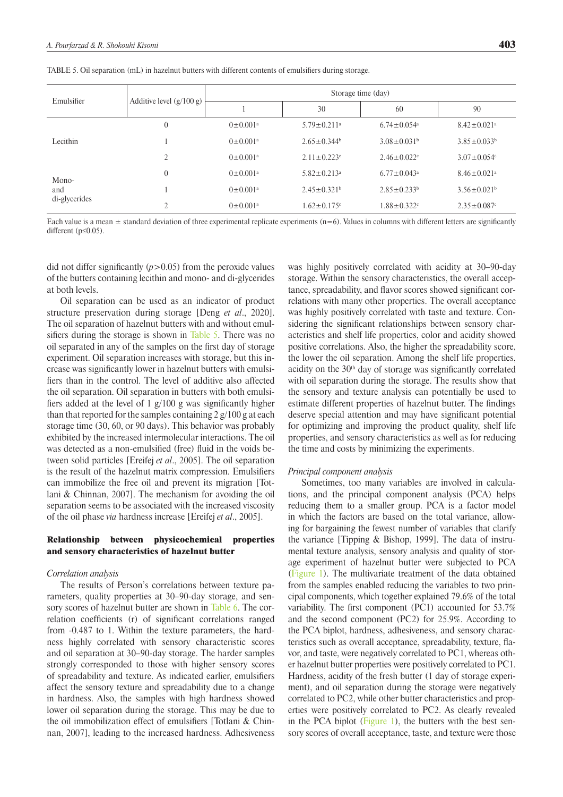|  | TABLE 5. Oil separation (mL) in hazelnut butters with different contents of emulsifiers during storage. |  |  |  |
|--|---------------------------------------------------------------------------------------------------------|--|--|--|
|--|---------------------------------------------------------------------------------------------------------|--|--|--|

|               |                            |                            |                               | Storage time (day)            |                               |
|---------------|----------------------------|----------------------------|-------------------------------|-------------------------------|-------------------------------|
| Emulsifier    | Additive level $(g/100 g)$ |                            | 30                            | 60                            | 90                            |
|               | $\overline{0}$             | $0 \pm 0.001$ <sup>a</sup> | $5.79 \pm 0.211$ <sup>a</sup> | $6.74 \pm 0.054$ <sup>a</sup> | $8.42 \pm 0.021$ <sup>a</sup> |
| Lecithin      |                            | $0 \pm 0.001$ <sup>a</sup> | $2.65 \pm 0.344$              | $3.08 \pm 0.031$ <sup>b</sup> | $3.85 \pm 0.033^b$            |
|               | $\mathcal{L}$              | $0 \pm 0.001$ <sup>a</sup> | $2.11 \pm 0.223$              | $2.46 \pm 0.022$              | $3.07 \pm 0.054$              |
| Mono-         | $\theta$                   | $0 \pm 0.001$ <sup>a</sup> | $5.82 \pm 0.213$ <sup>a</sup> | $6.77 \pm 0.043$ <sup>a</sup> | $8.46 \pm 0.021$ <sup>a</sup> |
| and           |                            | $0 \pm 0.001$ <sup>a</sup> | $2.45 \pm 0.321$ <sup>b</sup> | $2.85 \pm 0.233^b$            | $3.56 \pm 0.021^b$            |
| di-glycerides | $\bigcap$                  | $0 \pm 0.001$ <sup>a</sup> | $1.62 \pm 0.175$ °            | $1.88 \pm 0.322$              | $2.35 \pm 0.087$ °            |

Each value is a mean  $\pm$  standard deviation of three experimental replicate experiments (n=6). Values in columns with different letters are significantly different (p≤0.05).

did not differ significantly  $(p>0.05)$  from the peroxide values of the butters containing lecithin and mono- and di-glycerides at both levels.

Oil separation can be used as an indicator of product structure preservation during storage [Deng *et al*., 2020]. The oil separation of hazelnut butters with and without emulsifiers during the storage is shown in Table 5. There was no oil separated in any of the samples on the first day of storage experiment. Oil separation increases with storage, but this increase was significantly lower in hazelnut butters with emulsifiers than in the control. The level of additive also affected the oil separation. Oil separation in butters with both emulsifiers added at the level of 1 g/100 g was significantly higher than that reported for the samples containing  $2 \frac{g}{100}$  g at each storage time (30, 60, or 90 days). This behavior was probably exhibited by the increased intermolecular interactions. The oil was detected as a non-emulsified (free) fluid in the voids between solid particles [Ereifej *et al*., 2005]. The oil separation is the result of the hazelnut matrix compression. Emulsifiers can immobilize the free oil and prevent its migration [Totlani & Chinnan, 2007]. The mechanism for avoiding the oil separation seems to be associated with the increased viscosity of the oil phase *via* hardness increase [Ereifej *et al*., 2005].

## Relationship between physicochemical properties and sensory characteristics of hazelnut butter

### *Correlation analysis*

The results of Person's correlations between texture parameters, quality properties at 30–90-day storage, and sensory scores of hazelnut butter are shown in [Table 6](#page-5-0). The correlation coefficients (r) of significant correlations ranged from -0.487 to 1. Within the texture parameters, the hardness highly correlated with sensory characteristic scores and oil separation at 30–90-day storage. The harder samples strongly corresponded to those with higher sensory scores of spreadability and texture. As indicated earlier, emulsifiers affect the sensory texture and spreadability due to a change in hardness. Also, the samples with high hardness showed lower oil separation during the storage. This may be due to the oil immobilization effect of emulsifiers [Totlani & Chinnan, 2007], leading to the increased hardness. Adhesiveness was highly positively correlated with acidity at 30–90-day storage. Within the sensory characteristics, the overall acceptance, spreadability, and flavor scores showed significant correlations with many other properties. The overall acceptance was highly positively correlated with taste and texture. Considering the significant relationships between sensory characteristics and shelf life properties, color and acidity showed positive correlations. Also, the higher the spreadability score, the lower the oil separation. Among the shelf life properties, acidity on the 30th day of storage was significantly correlated with oil separation during the storage. The results show that the sensory and texture analysis can potentially be used to estimate different properties of hazelnut butter. The findings deserve special attention and may have significant potential for optimizing and improving the product quality, shelf life properties, and sensory characteristics as well as for reducing the time and costs by minimizing the experiments.

#### *Principal component analysis*

Sometimes, too many variables are involved in calculations, and the principal component analysis (PCA) helps reducing them to a smaller group. PCA is a factor model in which the factors are based on the total variance, allowing for bargaining the fewest number of variables that clarify the variance [Tipping  $\&$  Bishop, 1999]. The data of instrumental texture analysis, sensory analysis and quality of storage experiment of hazelnut butter were subjected to PCA [\(Figure 1\)](#page-6-0). The multivariate treatment of the data obtained from the samples enabled reducing the variables to two principal components, which together explained 79.6% of the total variability. The first component (PC1) accounted for 53.7% and the second component (PC2) for 25.9%. According to the PCA biplot, hardness, adhesiveness, and sensory characteristics such as overall acceptance, spreadability, texture, flavor, and taste, were negatively correlated to PC1, whereas other hazelnut butter properties were positively correlated to PC1. Hardness, acidity of the fresh butter (1 day of storage experiment), and oil separation during the storage were negatively correlated to PC2, while other butter characteristics and properties were positively correlated to PC2. As clearly revealed in the PCA biplot (Figure 1), the butters with the best sensory scores of overall acceptance, taste, and texture were those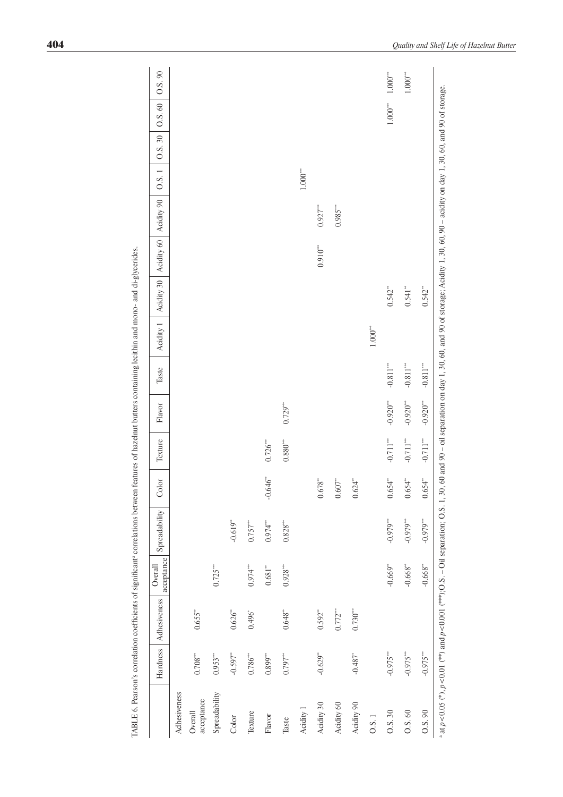<span id="page-5-0"></span>

|                                                                                          | Hardness               | Adhesiveness | acceptance<br>Overall | Spreadability | Color                  | Texture                      | ${\rm F}$ avor | Taste       | Acidity 1                      | Acidity 30   Acidity 60 |            | Acidity 90                                                                                                                               | 0.8.1                  | 0.8.30 | 0.5.60                 | 0.5.90                      |
|------------------------------------------------------------------------------------------|------------------------|--------------|-----------------------|---------------|------------------------|------------------------------|----------------|-------------|--------------------------------|-------------------------|------------|------------------------------------------------------------------------------------------------------------------------------------------|------------------------|--------|------------------------|-----------------------------|
| Adhesiveness                                                                             |                        |              |                       |               |                        |                              |                |             |                                |                         |            |                                                                                                                                          |                        |        |                        |                             |
| acceptance<br>Overall                                                                    | $0.708***$             | 0.655'''     |                       |               |                        |                              |                |             |                                |                         |            |                                                                                                                                          |                        |        |                        |                             |
| Spreadability                                                                            | $0.953***$             |              | $0.725***$            |               |                        |                              |                |             |                                |                         |            |                                                                                                                                          |                        |        |                        |                             |
| Color                                                                                    | $-0.597$ <sup>**</sup> | 0.626'''     |                       | $-0.619**$    |                        |                              |                |             |                                |                         |            |                                                                                                                                          |                        |        |                        |                             |
| Texture                                                                                  | $0.786^{\ast\ast\ast}$ | $0.496^{*}$  | $0.974***$            | $0.757***$    |                        |                              |                |             |                                |                         |            |                                                                                                                                          |                        |        |                        |                             |
| Flavor                                                                                   | $0.899***$             |              | 0.681"                | $0.974***$    | $-0.646$ <sup>**</sup> | $0.726***$                   |                |             |                                |                         |            |                                                                                                                                          |                        |        |                        |                             |
| Taste                                                                                    | $0.797***$             | 0.648"       | $0.928***$            | $0.828***$    |                        | $0.880^{\mbox{\tiny{stat}}}$ | $0.729***$     |             |                                |                         |            |                                                                                                                                          |                        |        |                        |                             |
| Acidity 1                                                                                |                        |              |                       |               |                        |                              |                |             |                                |                         |            |                                                                                                                                          | $1.000^{\ast\ast\ast}$ |        |                        |                             |
| Acidity 30                                                                               | $-0.629$ <sup>**</sup> | $0.592^{**}$ |                       |               | 0.678'''<br>$\circ$    |                              |                |             |                                |                         | $0.910***$ | $0.927***$                                                                                                                               |                        |        |                        |                             |
| Acidity 60                                                                               |                        | $0.772***$   |                       |               | 0.607'''<br>っ          |                              |                |             |                                |                         |            | $0.985***$                                                                                                                               |                        |        |                        |                             |
| Acidity 90                                                                               | $-0.487$ <sup>*</sup>  | $0.730***$   |                       |               | $.624**$               |                              |                |             |                                |                         |            |                                                                                                                                          |                        |        |                        |                             |
| 0.8.1                                                                                    |                        |              |                       |               |                        |                              |                |             | $1.000^{\mbox{\tiny\rm stat}}$ |                         |            |                                                                                                                                          |                        |        |                        |                             |
| O.S. 30                                                                                  | $-0.975$               |              | $-0.669"$             | $-0.979***$   | 0.654'''<br>$\circ$    | $-0.711^{\ast\ast\ast}$      | $-0.920***$    | $-0.811***$ |                                | 0.542'''                |            |                                                                                                                                          |                        |        | $1.000^{\ast\ast\ast}$ | $1.000^{\ast\ast\ast}$      |
| 0.5.60                                                                                   | $-0.975***$            |              | $-0.668"$             | $-0.979***$   | $.654$ <sup>**</sup>   | $-0.711***$                  | $-0.920***$    | $-0.811***$ |                                | 0.541"                  |            |                                                                                                                                          |                        |        |                        | $1.000^{\mbox{\tiny{***}}}$ |
| 0.5.90                                                                                   | $-0.975***$            |              | $-0.668"$             | $-0.979***$   | .654**<br>⊂            | $-0.711***$                  | $-0.920***$    | $-0.811***$ |                                | $0.542**$               |            |                                                                                                                                          |                        |        |                        |                             |
| at $p < 0.05$ (*), $p < 0.01$ (**) and $p < 0.001$ (***); O.S. - Oil separation; O.S. 1, |                        |              |                       |               |                        |                              |                |             |                                |                         |            | 30, 60 and 90 - oil separation on day 1, 30, 60, and 90 of storage; Acidity 1, 30, 60, 90 - acidity on day 1, 30, 60, and 90 of storage. |                        |        |                        |                             |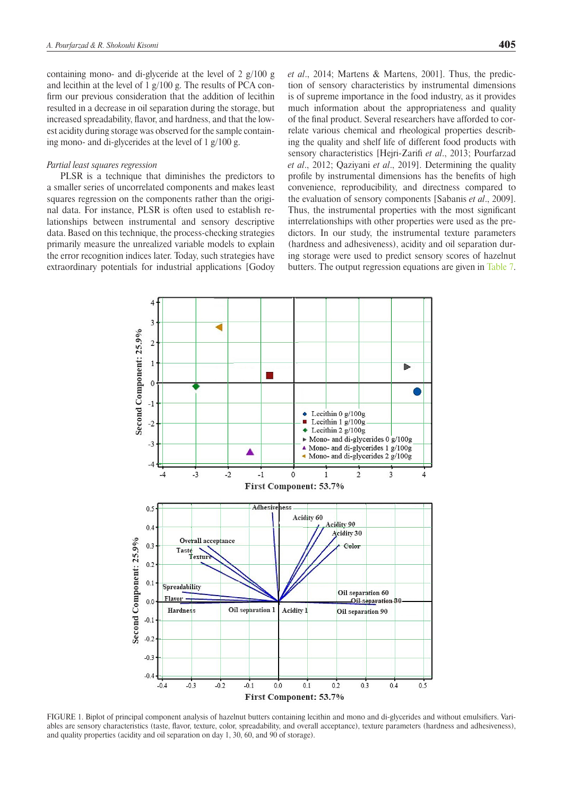<span id="page-6-0"></span>containing mono- and di-glyceride at the level of  $2 \frac{g}{100}$  g and lecithin at the level of 1 g/100 g. The results of PCA confirm our previous consideration that the addition of lecithin resulted in a decrease in oil separation during the storage, but increased spreadability, flavor, and hardness, and that the lowest acidity during storage was observed for the sample containing mono- and di-glycerides at the level of 1 g/100 g.

#### *Partial least squares regression*

PLSR is a technique that diminishes the predictors to a smaller series of uncorrelated components and makes least squares regression on the components rather than the original data. For instance, PLSR is often used to establish relationships between instrumental and sensory descriptive data. Based on this technique, the process-checking strategies primarily measure the unrealized variable models to explain the error recognition indices later. Today, such strategies have extraordinary potentials for industrial applications [Godoy *et al*., 2014; Martens & Martens, 2001]. Thus, the prediction of sensory characteristics by instrumental dimensions is of supreme importance in the food industry, as it provides much information about the appropriateness and quality of the final product. Several researchers have afforded to correlate various chemical and rheological properties describing the quality and shelf life of different food products with sensory characteristics [Hejri-Zarifi *et al*., 2013; Pourfarzad *et al*., 2012; Qaziyani *et al*., 2019]. Determining the quality profile by instrumental dimensions has the benefits of high convenience, reproducibility, and directness compared to the evaluation of sensory components [Sabanis *et al*., 2009]. Thus, the instrumental properties with the most significant interrelationships with other properties were used as the predictors. In our study, the instrumental texture parameters (hardness and adhesiveness), acidity and oil separation during storage were used to predict sensory scores of hazelnut butters. The output regression equations are given in [Table 7](#page-7-0).



FIGURE 1. Biplot of principal component analysis of hazelnut butters containing lecithin and mono and di-glycerides and without emulsifiers. Variables are sensory characteristics (taste, flavor, texture, color, spreadability, and overall acceptance), texture parameters (hardness and adhesiveness), and quality properties (acidity and oil separation on day 1, 30, 60, and 90 of storage).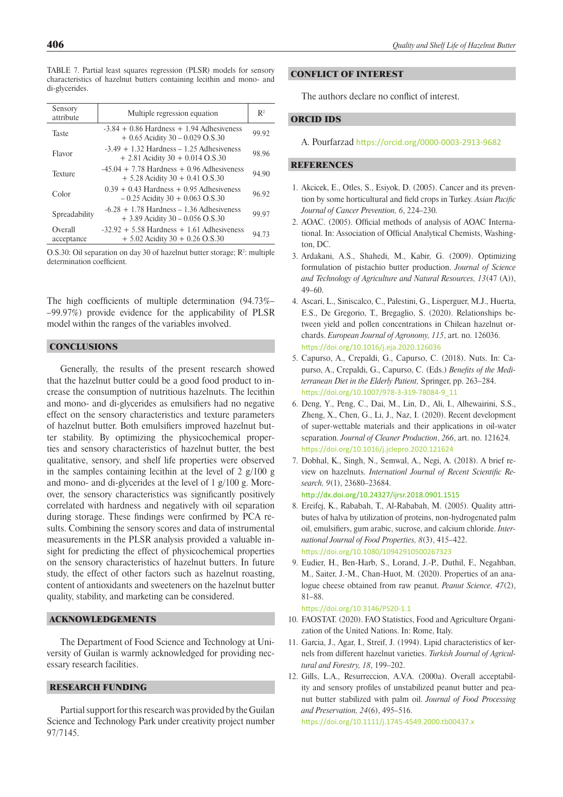<span id="page-7-0"></span>TABLE 7. Partial least squares regression (PLSR) models for sensory characteristics of hazelnut butters containing lecithin and mono- and di-glycerides.

| Sensory<br>attribute  | Multiple regression equation                                                          | $\mathbb{R}^2$ |
|-----------------------|---------------------------------------------------------------------------------------|----------------|
| Taste                 | $-3.84 + 0.86$ Hardness $+ 1.94$ Adhesiveness<br>$+0.65$ Acidity 30 – 0.029 O.S.30    | 99.92          |
| Flavor                | $-3.49 + 1.32$ Hardness $-1.25$ Adhesiveness<br>$+ 2.81$ Acidity 30 $+ 0.014$ O.S.30  | 98.96          |
| <b>Texture</b>        | $-45.04 + 7.78$ Hardness $+ 0.96$ Adhesiveness<br>$+ 5.28$ Acidity 30 $+ 0.41$ O.S.30 | 94.90          |
| Color                 | $0.39 + 0.43$ Hardness $+ 0.95$ Adhesiveness<br>$-0.25$ Acidity 30 + 0.063 O.S.30     | 96.92          |
| Spreadability         | $-6.28 + 1.78$ Hardness $-1.36$ Adhesiveness<br>$+3.89$ Acidity 30 – 0.056 O.S.30     | 99.97          |
| Overall<br>acceptance | $-32.92 + 5.58$ Hardness $+ 1.61$ Adhesiveness<br>$+ 5.02$ Acidity 30 + 0.26 O.S.30   | 94.73          |

 $O.S.30$ : Oil separation on day 30 of hazelnut butter storage;  $R^2$ : multiple determination coefficient.

The high coefficients of multiple determination (94.73%– –99.97%) provide evidence for the applicability of PLSR model within the ranges of the variables involved.

## **CONCLUSIONS**

Generally, the results of the present research showed that the hazelnut butter could be a good food product to increase the consumption of nutritious hazelnuts. The lecithin and mono- and di-glycerides as emulsifiers had no negative effect on the sensory characteristics and texture parameters of hazelnut butter. Both emulsifiers improved hazelnut butter stability. By optimizing the physicochemical properties and sensory characteristics of hazelnut butter, the best qualitative, sensory, and shelf life properties were observed in the samples containing lecithin at the level of  $2 \frac{g}{100}$  g and mono- and di-glycerides at the level of 1 g/100 g. Moreover, the sensory characteristics was significantly positively correlated with hardness and negatively with oil separation during storage. These findings were confirmed by PCA results. Combining the sensory scores and data of instrumental measurements in the PLSR analysis provided a valuable insight for predicting the effect of physicochemical properties on the sensory characteristics of hazelnut butters. In future study, the effect of other factors such as hazelnut roasting, content of antioxidants and sweeteners on the hazelnut butter quality, stability, and marketing can be considered.

## ACKNOWLEDGEMENTS

The Department of Food Science and Technology at University of Guilan is warmly acknowledged for providing necessary research facilities.

## RESEARCH FUNDING

Partial support for this research was provided by the Guilan Science and Technology Park under creativity project number 97/7145.

## CONFLICT OF INTEREST

The authors declare no conflict of interest.

## ORCID IDS

A. Pourfarzad <https://orcid.org/0000-0003-2913-9682>

#### **REFERENCES**

- 1. Akcicek, E., Otles, S., Esiyok, D. (2005). Cancer and its prevention by some horticultural and field crops in Turkey. *Asian Pacific Journal of Cancer Prevention, 6*, 224–230.
- 2. AOAC. (2005). Official methods of analysis of AOAC International. In: Association of Official Analytical Chemists, Washington, DC.
- 3. Ardakani, A.S., Shahedi, M., Kabir, G. (2009). Optimizing formulation of pistachio butter production. *Journal of Science and Technology of Agriculture and Natural Resources, 13*(47 (A)), 49–60.
- 4. Ascari, L., Siniscalco, C., Palestini, G., Lisperguer, M.J., Huerta, E.S., De Gregorio, T., Bregaglio, S. (2020). Relationships between yield and pollen concentrations in Chilean hazelnut orchards. *European Journal of Agronomy, 115*, art. no. 126036. <https://doi.org/10.1016/j.eja.2020.126036>
- 5. Capurso, A., Crepaldi, G., Capurso, C. (2018). Nuts. In: Capurso, A., Crepaldi, G., Capurso, C. (Eds.) *Benefits of the Mediterranean Diet in the Elderly Patient,* Springer, pp. 263–284. [https://doi.org/10.1007/978-3-319-78084-9\\_11](https://doi.org/10.1007/978-3-319-78084-9_11)
- 6. Deng, Y., Peng, C., Dai, M., Lin, D., Ali, I., Alhewairini, S.S., Zheng, X., Chen, G., Li, J., Naz, I. (2020). Recent development of super-wettable materials and their applications in oil-water separation. *Journal of Cleaner Production*, *266*, art. no. 121624. <https://doi.org/10.1016/j.jclepro.2020.121624>
- 7. Dobhal, K., Singh, N., Semwal, A., Negi, A. (2018). A brief review on hazelnuts. *Internationl Journal of Recent Scientific Research, 9*(1), 23680–23684. http://dx.doi.org/10.24327/ijrsr.2018.0901.1515
- 8. Ereifej, K., Rababah, T., Al-Rababah, M. (2005). Quality attributes of halva by utilization of proteins, non-hydrogenated palm oil, emulsifiers, gum arabic, sucrose, and calcium chloride. *International Journal of Food Properties, 8*(3), 415–422. <https://doi.org/10.1080/10942910500267323>
- 9. Eudier, H., Ben-Harb, S., Lorand, J.-P., Duthil, F., Negahban, M., Saiter, J.-M., Chan-Huot, M. (2020). Properties of an analogue cheese obtained from raw peanut. *Peanut Science, 47*(2), 81–88.

<https://doi.org/10.3146/PS20-1.1>

- 10. FAOSTAT. (2020). FAO Statistics, Food and Agriculture Organization of the United Nations. In: Rome, Italy.
- 11. Garcia, J., Agar, I., Streif, J. (1994). Lipid characteristics of kernels from different hazelnut varieties. *Turkish Journal of Agricultural and Forestry, 18*, 199–202.
- 12. Gills, L.A., Resurreccion, A.V.A. (2000a). Overall acceptability and sensory profiles of unstabilized peanut butter and peanut butter stabilized with palm oil. *Journal of Food Processing and Preservation, 24*(6), 495–516.

<https://doi.org/10.1111/j.1745-4549.2000.tb00437.x>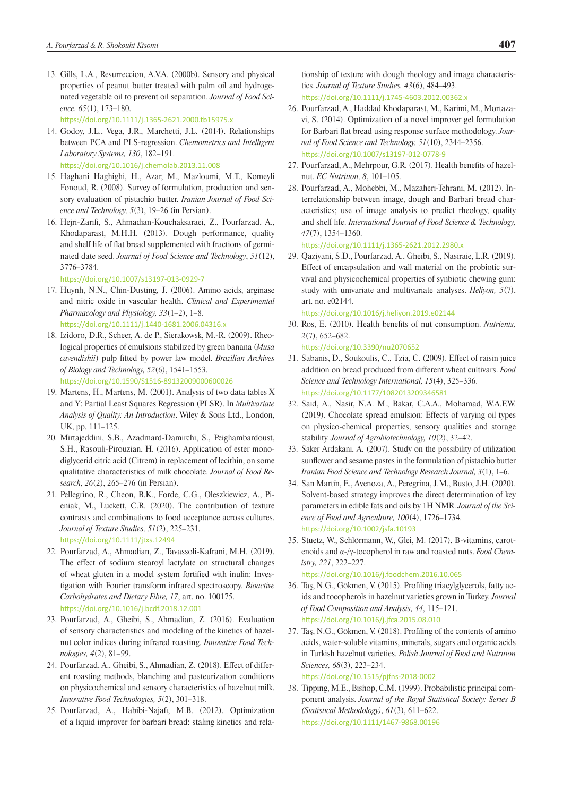13. Gills, L.A., Resurreccion, A.V.A. (2000b). Sensory and physical properties of peanut butter treated with palm oil and hydrogenated vegetable oil to prevent oil separation. *Journal of Food Science, 65*(1), 173–180.

<https://doi.org/10.1111/j.1365-2621.2000.tb15975.x>

- 14. Godoy, J.L., Vega, J.R., Marchetti, J.L. (2014). Relationships between PCA and PLS-regression. *Chemometrics and Intelligent Laboratory Systems, 130*, 182–191. <https://doi.org/10.1016/j.chemolab.2013.11.008>
- 15. Haghani Haghighi, H., Azar, M., Mazloumi, M.T., Komeyli Fonoud, R. (2008). Survey of formulation, production and sensory evaluation of pistachio butter. *Iranian Journal of Food Science and Technology, 5*(3), 19–26 (in Persian).
- 16. Hejri-Zarifi, S., Ahmadian-Kouchaksaraei, Z., Pourfarzad, A., Khodaparast, M.H.H. (2013). Dough performance, quality and shelf life of flat bread supplemented with fractions of germinated date seed. *Journal of Food Science and Technology*, *51*(12), 3776–3784.

<https://doi.org/10.1007/s13197-013-0929-7>

- 17. Huynh, N.N., Chin-Dusting, J. (2006). Amino acids, arginase and nitric oxide in vascular health. *Clinical and Experimental Pharmacology and Physiology, 33*(1–2), 1–8. <https://doi.org/10.1111/j.1440-1681.2006.04316.x>
- 18. Izidoro, D.R., Scheer, A. de P., Sierakowsk, M.-R. (2009). Rheological properties of emulsions stabilized by green banana (*Musa cavendishii*) pulp fitted by power law model. *Brazilian Archives of Biology and Technology, 52*(6), 1541–1553. <https://doi.org/10.1590/S1516-89132009000600026>
- 19. Martens, H., Martens, M. (2001). Analysis of two data tables X and Y: Partial Least Squares Regression (PLSR). In *Multivariate Analysis of Quality: An Introduction*. Wiley & Sons Ltd., London, UK, pp. 111–125.
- 20. Mirtajeddini, S.B., Azadmard-Damirchi, S., Peighambardoust, S.H., Rasouli-Pirouzian, H. (2016). Application of ester monodiglycerid citric acid (Citrem) in replacement of lecithin, on some qualitative characteristics of milk chocolate. *Journal of Food Research, 26*(2), 265–276 (in Persian).
- 21. Pellegrino, R., Cheon, B.K., Forde, C.G., Oleszkiewicz, A., Pieniak, M., Luckett, C.R. (2020). The contribution of texture contrasts and combinations to food acceptance across cultures. *Journal of Texture Studies, 51*(2), 225–231. <https://doi.org/10.1111/jtxs.12494>
- 22. Pourfarzad, A., Ahmadian, Z., Tavassoli-Kafrani, M.H. (2019). The effect of sodium stearoyl lactylate on structural changes of wheat gluten in a model system fortified with inulin: Investigation with Fourier transform infrared spectroscopy. *Bioactive Carbohydrates and Dietary Fibre, 17*, art. no. 100175. <https://doi.org/10.1016/j.bcdf.2018.12.001>
- 23. Pourfarzad, A., Gheibi, S., Ahmadian, Z. (2016). Evaluation of sensory characteristics and modeling of the kinetics of hazelnut color indices during infrared roasting. *Innovative Food Technologies, 4*(2), 81–99.
- 24. Pourfarzad, A., Gheibi, S., Ahmadian, Z. (2018). Effect of different roasting methods, blanching and pasteurization conditions on physicochemical and sensory characteristics of hazelnut milk. *Innovative Food Technologies, 5*(2), 301–318.
- 25. Pourfarzad, A., Habibi-Najafi, M.B. (2012). Optimization of a liquid improver for barbari bread: staling kinetics and rela-

tionship of texture with dough rheology and image characteristics. *Journal of Texture Studies, 43*(6), 484–493. <https://doi.org/10.1111/j.1745-4603.2012.00362.x>

- 26. Pourfarzad, A., Haddad Khodaparast, M., Karimi, M., Mortazavi, S. (2014). Optimization of a novel improver gel formulation for Barbari flat bread using response surface methodology. *Journal of Food Science and Technology, 51*(10), 2344–2356. <https://doi.org/10.1007/s13197-012-0778-9>
- 27. Pourfarzad, A., Mehrpour, G.R. (2017). Health benefits of hazelnut. *EC Nutrition, 8*, 101–105.
- 28. Pourfarzad, A., Mohebbi, M., Mazaheri-Tehrani, M. (2012). Interrelationship between image, dough and Barbari bread characteristics; use of image analysis to predict rheology, quality and shelf life. *International Journal of Food Science & Technology, 47*(7), 1354–1360.

<https://doi.org/10.1111/j.1365-2621.2012.2980.x>

29. Qaziyani, S.D., Pourfarzad, A., Gheibi, S., Nasiraie, L.R. (2019). Effect of encapsulation and wall material on the probiotic survival and physicochemical properties of synbiotic chewing gum: study with univariate and multivariate analyses. *Heliyon, 5*(7), art. no. e02144.

<https://doi.org/10.1016/j.heliyon.2019.e02144>

30. Ros, E. (2010). Health benefits of nut consumption. *Nutrients, 2*(7), 652–682.

<https://doi.org/10.3390/nu2070652>

- 31. Sabanis, D., Soukoulis, C., Tzia, C. (2009). Effect of raisin juice addition on bread produced from different wheat cultivars. *Food Science and Technology International, 15*(4), 325–336. <https://doi.org/10.1177/1082013209346581>
- 32. Said, A., Nasir, N.A. M., Bakar, C.A.A., Mohamad, W.A.F.W. (2019). Chocolate spread emulsion: Effects of varying oil types on physico-chemical properties, sensory qualities and storage stability. *Journal of Agrobiotechnology, 10*(2), 32–42.
- 33. Saker Ardakani, A. (2007). Study on the possibility of utilization sunflower and sesame pastes in the formulation of pistachio butter *Iranian Food Science and Technology Research Journal, 3*(1), 1–6.
- 34. San Martín, E., Avenoza, A., Peregrina, J.M., Busto, J.H. (2020). Solvent-based strategy improves the direct determination of key parameters in edible fats and oils by 1H NMR. *Journal of the Science of Food and Agriculture, 100*(4), 1726–1734. <https://doi.org/10.1002/jsfa.10193>
- 35. Stuetz, W., Schlörmann, W., Glei, M. (2017). B-vitamins, carotenoids and α-/γ-tocopherol in raw and roasted nuts. *Food Chemistry, 221*, 222–227.
	- <https://doi.org/10.1016/j.foodchem.2016.10.065>
- 36. Taş, N.G., Gökmen, V. (2015). Profiling triacylglycerols, fatty acids and tocopherols in hazelnut varieties grown in Turkey. *Journal of Food Composition and Analysis, 44*, 115–121. <https://doi.org/10.1016/j.jfca.2015.08.010>
- 37. Taş, N.G., Gökmen, V. (2018). Profiling of the contents of amino acids, water-soluble vitamins, minerals, sugars and organic acids in Turkish hazelnut varieties. *Polish Journal of Food and Nutrition Sciences, 68*(3), 223–234. <https://doi.org/10.1515/pjfns-2018-0002>

38. Tipping, M.E., Bishop, C.M. (1999). Probabilistic principal com-

ponent analysis. *Journal of the Royal Statistical Society: Series B (Statistical Methodology), 61*(3), 611–622. <https://doi.org/10.1111/1467-9868.00196>